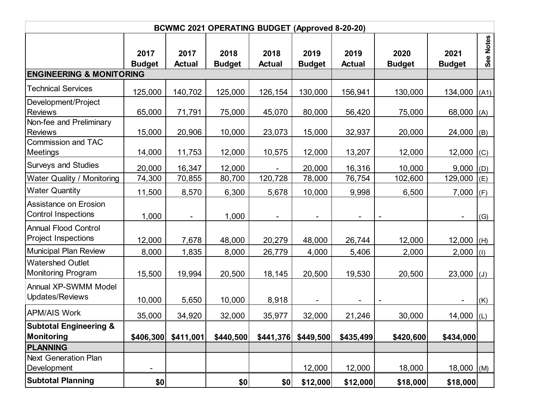| BCWMC 2021 OPERATING BUDGET (Approved 8-20-20)             |                          |                          |                       |                       |                          |                       |                          |                       |                |  |
|------------------------------------------------------------|--------------------------|--------------------------|-----------------------|-----------------------|--------------------------|-----------------------|--------------------------|-----------------------|----------------|--|
|                                                            | 2017<br><b>Budget</b>    | 2017<br><b>Actual</b>    | 2018<br><b>Budget</b> | 2018<br><b>Actual</b> | 2019<br><b>Budget</b>    | 2019<br><b>Actual</b> | 2020<br><b>Budget</b>    | 2021<br><b>Budget</b> | See Notes      |  |
| <b>ENGINEERING &amp; MONITORING</b>                        |                          |                          |                       |                       |                          |                       |                          |                       |                |  |
| <b>Technical Services</b>                                  | 125,000                  | 140,702                  | 125,000               | 126,154               | 130,000                  | 156,941               | 130,000                  | 134,000               | (A1)           |  |
| Development/Project<br><b>Reviews</b>                      | 65,000                   | 71,791                   | 75,000                | 45,070                | 80,000                   | 56,420                | 75,000                   | 68,000                | (A)            |  |
| Non-fee and Preliminary<br><b>Reviews</b>                  | 15,000                   | 20,906                   | 10,000                | 23,073                | 15,000                   | 32,937                | 20,000                   | 24,000                | (B)            |  |
| <b>Commission and TAC</b><br><b>Meetings</b>               | 14,000                   | 11,753                   | 12,000                | 10,575                | 12,000                   | 13,207                | 12,000                   | 12,000                | (C)            |  |
| <b>Surveys and Studies</b>                                 | 20,000                   | 16,347                   | 12,000                | $\blacksquare$        | 20,000                   | 16,316                | 10,000                   | 9,000                 | (D)            |  |
| Water Quality / Monitoring                                 | 74,300                   | 70,855                   | 80,700                | 120,728               | 78,000                   | 76,754                | 102,600                  | 129,000               | (E)            |  |
| <b>Water Quantity</b>                                      | 11,500                   | 8,570                    | 6,300                 | 5,678                 | 10,000                   | 9,998                 | 6,500                    | 7,000                 | (F)            |  |
| <b>Assistance on Erosion</b><br><b>Control Inspections</b> | 1,000                    | $\overline{\phantom{a}}$ | 1,000                 | $\blacksquare$        | $\overline{\phantom{a}}$ |                       | $\overline{\phantom{a}}$ |                       | (G)            |  |
| <b>Annual Flood Control</b><br><b>Project Inspections</b>  | 12,000                   | 7,678                    | 48,000                | 20,279                | 48,000                   | 26,744                | 12,000                   | 12,000                | (H)            |  |
| <b>Municipal Plan Review</b>                               | 8,000                    | 1,835                    | 8,000                 | 26,779                | 4,000                    | 5,406                 | 2,000                    | 2,000                 | (1)            |  |
| <b>Watershed Outlet</b><br><b>Monitoring Program</b>       | 15,500                   | 19,994                   | 20,500                | 18,145                | 20,500                   | 19,530                | 20,500                   | 23,000                | $(\mathsf{U})$ |  |
| <b>Annual XP-SWMM Model</b><br>Updates/Reviews             | 10,000                   | 5,650                    | 10,000                | 8,918                 |                          |                       |                          |                       | (K)            |  |
| <b>APM/AIS Work</b>                                        | 35,000                   | 34,920                   | 32,000                | 35,977                | 32,000                   | 21,246                | 30,000                   | 14,000                | (L)            |  |
| <b>Subtotal Engineering &amp;</b><br>Monitoring            | \$406,300                | \$411,001                | \$440,500             | \$441,376             | \$449,500                | \$435,499             | \$420,600                | \$434,000             |                |  |
| <b>PLANNING</b>                                            |                          |                          |                       |                       |                          |                       |                          |                       |                |  |
| <b>Next Generation Plan</b><br>Development                 | $\overline{\phantom{0}}$ |                          |                       |                       | 12,000                   | 12,000                | 18,000                   | 18,000                | (M)            |  |
| <b>Subtotal Planning</b>                                   | \$0                      |                          | \$0                   | \$0                   | \$12,000                 | \$12,000              | \$18,000                 | \$18,000              |                |  |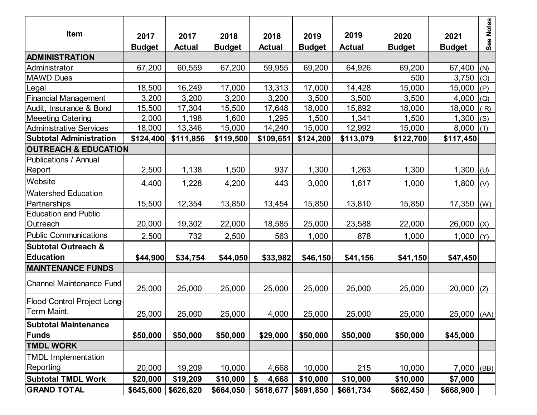| <b>Item</b>                                        | 2017<br><b>Budget</b> | 2017<br><b>Actual</b> | 2018<br><b>Budget</b> | 2018<br><b>Actual</b> | 2019<br><b>Budget</b> | 2019<br><b>Actual</b> | 2020<br><b>Budget</b> | 2021<br><b>Budget</b> | See Notes |
|----------------------------------------------------|-----------------------|-----------------------|-----------------------|-----------------------|-----------------------|-----------------------|-----------------------|-----------------------|-----------|
| <b>ADMINISTRATION</b>                              |                       |                       |                       |                       |                       |                       |                       |                       |           |
| Administrator                                      | 67,200                | 60,559                | 67,200                | 59,955                | 69,200                | 64,926                | 69,200                | 67,400                | (N)       |
| <b>MAWD Dues</b>                                   |                       |                       |                       |                       |                       |                       | 500                   | 3,750                 | (O)       |
| Legal                                              | 18,500                | 16,249                | 17,000                | 13,313                | 17,000                | 14,428                | 15,000                | 15,000                | (P)       |
| <b>Financial Management</b>                        | 3,200                 | 3,200                 | 3,200                 | 3,200                 | 3,500                 | 3,500                 | 3,500                 | 4,000                 | (Q)       |
| Audit, Insurance & Bond                            | 15,500                | 17,304                | 15,500                | 17,648                | 18,000                | 15,892                | 18,000                | 18,000                | (R)       |
| <b>Meeeting Catering</b>                           | 2,000                 | 1,198                 | ,600                  | ,295                  | 1,500                 | 1,341                 | 1,500                 | 1,300                 | (S)       |
| <b>Administrative Services</b>                     | 18,000                | 13,346                | 15,000                | 14,240                | 15,000                | 12,992                | 15,000                | 8,000                 | (T)       |
| <b>Subtotal Administration</b>                     | \$124,400             | \$111,856             | \$119,500             | \$109,651             | \$124,200             | \$113,079             | \$122,700             | \$117,450             |           |
| <b>OUTREACH &amp; EDUCATION</b>                    |                       |                       |                       |                       |                       |                       |                       |                       |           |
| <b>Publications / Annual</b><br>Report             | 2,500                 | 1,138                 | 1,500                 | 937                   | 1,300                 | 1,263                 | 1,300                 | 1,300                 | (U)       |
| Website                                            | 4,400                 | 1,228                 | 4,200                 | 443                   | 3,000                 | 1,617                 | 1,000                 | 1,800                 | (V)       |
| <b>Watershed Education</b><br>Partnerships         | 15,500                | 12,354                | 13,850                | 13,454                | 15,850                | 13,810                | 15,850                | 17,350                | (W)       |
| <b>Education and Public</b><br>Outreach            | 20,000                | 19,302                | 22,000                | 18,585                | 25,000                | 23,588                | 22,000                | 26,000                | (X)       |
| <b>Public Communications</b>                       | 2,500                 | 732                   | 2,500                 | 563                   | 1,000                 | 878                   | 1,000                 | 1,000                 | (Y)       |
| <b>Subtotal Outreach &amp;</b><br><b>Education</b> | \$44,900              | \$34,754              | \$44,050              | \$33,982              | \$46,150              | \$41,156              | \$41,150              | \$47,450              |           |
| <b>MAINTENANCE FUNDS</b>                           |                       |                       |                       |                       |                       |                       |                       |                       |           |
| <b>Channel Maintenance Fund</b>                    | 25,000                | 25,000                | 25,000                | 25,000                | 25,000                | 25,000                | 25,000                | 20,000                | (Z)       |
| Flood Control Project Long-<br>Term Maint.         | 25,000                | 25,000                | 25,000                | 4,000                 | 25,000                | 25,000                | 25,000                | $25,000$ (AA)         |           |
| <b>Subtotal Maintenance</b>                        |                       |                       |                       |                       |                       |                       |                       |                       |           |
| Funds                                              | \$50,000              | \$50,000              | \$50,000              | \$29,000              | \$50,000              | \$50,000              | \$50,000              | \$45,000              |           |
| <b>TMDL WORK</b>                                   |                       |                       |                       |                       |                       |                       |                       |                       |           |
| <b>TMDL Implementation</b><br>Reporting            | 20,000                | 19,209                | 10,000                | 4,668                 | 10,000                | 215                   | 10,000                | $7,000$ (BB)          |           |
| <b>Subtotal TMDL Work</b>                          | \$20,000              | \$19,209              | \$10,000              | 4,668<br>\$           | \$10,000              | \$10,000              | \$10,000              | \$7,000               |           |
| <b>GRAND TOTAL</b>                                 | \$645,600             | \$626,820             | \$664,050             | \$618,677             | \$691,850             | \$661,734             | \$662,450             | \$668,900             |           |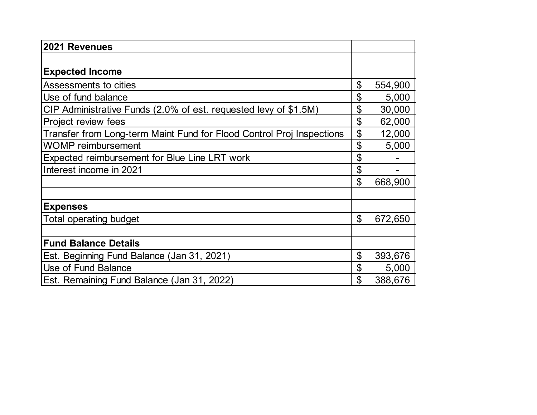| 2021 Revenues                                                         |               |
|-----------------------------------------------------------------------|---------------|
|                                                                       |               |
| <b>Expected Income</b>                                                |               |
| Assessments to cities                                                 | \$<br>554,900 |
| Use of fund balance                                                   | \$<br>5,000   |
| CIP Administrative Funds (2.0% of est. requested levy of \$1.5M)      | \$<br>30,000  |
| Project review fees                                                   | \$<br>62,000  |
| Transfer from Long-term Maint Fund for Flood Control Proj Inspections | \$<br>12,000  |
| <b>WOMP</b> reimbursement                                             | \$<br>5,000   |
| Expected reimbursement for Blue Line LRT work                         | \$            |
| Interest income in 2021                                               | \$            |
|                                                                       | \$<br>668,900 |
|                                                                       |               |
| <b>Expenses</b>                                                       |               |
| <b>Total operating budget</b>                                         | \$<br>672,650 |
|                                                                       |               |
| <b>Fund Balance Details</b>                                           |               |
| Est. Beginning Fund Balance (Jan 31, 2021)                            | \$<br>393,676 |
| Use of Fund Balance                                                   | \$<br>5,000   |
| Est. Remaining Fund Balance (Jan 31, 2022)                            | \$<br>388,676 |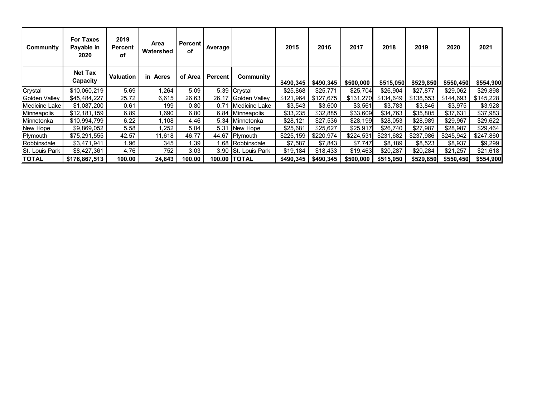| Community            | <b>For Taxes</b><br>Payable in<br>2020 | 2019<br><b>Percent</b><br>οf | Area<br>Watershed | Percent<br>of | Average |                      | 2015      | 2016      | 2017      | 2018      | 2019      | 2020      | 2021      |
|----------------------|----------------------------------------|------------------------------|-------------------|---------------|---------|----------------------|-----------|-----------|-----------|-----------|-----------|-----------|-----------|
|                      | <b>Net Tax</b><br>Capacity             | <b>Valuation</b>             | in Acres          | of Area       | Percent | Community            | \$490,345 | \$490,345 | \$500,000 | \$515,050 | \$529,850 | \$550,450 | \$554,900 |
| Crystal              | \$10,060,219                           | 5.69                         | 1,264             | 5.09          | 5.39    | Crystal              | \$25,868  | \$25,771  | \$25,704  | \$26,904  | \$27,877  | \$29,062  | \$29,898  |
| <b>Golden Valley</b> | \$45,484,227                           | 25.72                        | 6,615             | 26.63         | 26.17   | Golden Valley        | \$121,964 | \$127,675 | \$131,270 | \$134,649 | \$138,553 | \$144,693 | \$145,228 |
| Medicine Lake        | \$1,087,200                            | 0.61                         | 199               | 0.80          | 0.71    | Medicine Lake        | \$3,543   | \$3,600   | \$3,561   | \$3,783   | \$3,846   | \$3,975   | \$3,928   |
| Minneapolis          | \$12,181,159                           | 6.89                         | 1,690             | 6.80          |         | 6.84 Minneapolis     | \$33,235  | \$32,885  | \$33,609  | \$34,763  | \$35,805  | \$37,631  | \$37,983  |
| Minnetonka           | \$10,994,799                           | 6.22                         | 1,108             | 4.46          | 5.34    | Minnetonka           | \$28,121  | \$27,536  | \$28,199  | \$28,053  | \$28,989  | \$29,967  | \$29,622  |
| New Hope             | \$9,869,052                            | 5.58                         | 1,252             | 5.04          | 5.31    | New Hope             | \$25,681  | \$25,627  | \$25,917  | \$26,740  | \$27,987  | \$28,987  | \$29,464  |
| ∥Plymouth            | \$75,291,555                           | 42.57                        | 11,618            | 46.77         | 44.67   | <b>Plymouth</b>      | \$225,159 | \$220,974 | \$224,531 | \$231,682 | \$237,986 | \$245,942 | \$247,860 |
| Robbinsdale          | \$3,471,941                            | 1.96                         | 345               | 1.39          | 1.68    | Robbinsdale          | \$7,587   | \$7,843   | \$7,747   | \$8,189   | \$8,523   | \$8,937   | \$9,299   |
| St. Louis Park       | \$8,427,361                            | 4.76                         | 752               | 3.03          |         | 3.90 St. Louis Park  | \$19,184  | \$18,433  | \$19,463  | \$20,287  | \$20,284  | \$21,257  | \$21,618  |
| TOTAL                | \$176,867,513                          | 100.00                       | 24,843            | 100.00        |         | <b>100.00 ITOTAL</b> | \$490,345 | \$490,345 | \$500,000 | \$515,050 | \$529,850 | \$550,450 | \$554,900 |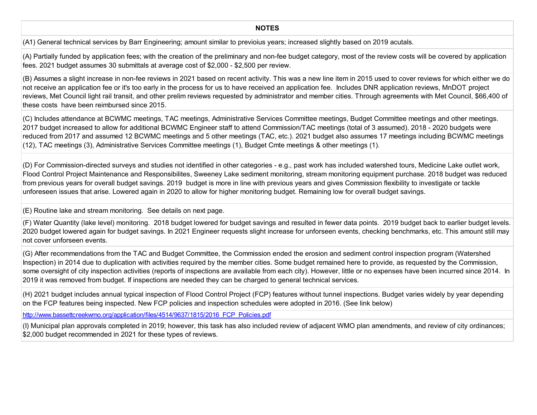**NOTES**

(A1) General technical services by Barr Engineering; amount similar to previoius years; increased slightly based on 2019 acutals.

(A) Partially funded by application fees; with the creation of the preliminary and non-fee budget category, most of the review costs will be covered by application fees. 2021 budget assumes 30 submittals at average cost of \$2,000 - \$2,500 per review.

(B) Assumes a slight increase in non-fee reviews in 2021 based on recent activity. This was a new line item in 2015 used to cover reviews for which either we do not receive an application fee or it's too early in the process for us to have received an application fee. Includes DNR application reviews, MnDOT project reviews, Met Council light rail transit, and other prelim reviews requested by administrator and member cities. Through agreements with Met Council, \$66,400 of these costs have been reimbursed since 2015.

(C) Includes attendance at BCWMC meetings, TAC meetings, Administrative Services Committee meetings, Budget Committee meetings and other meetings. 2017 budget increased to allow for additional BCWMC Engineer staff to attend Commission/TAC meetings (total of 3 assumed). 2018 - 2020 budgets were reduced from 2017 and assumed 12 BCWMC meetings and 5 other meetings (TAC, etc.). 2021 budget also assumes 17 meetings including BCWMC meetings (12), TAC meetings (3), Administrative Services Committee meetings (1), Budget Cmte meetings & other meetings (1).

(D) For Commission-directed surveys and studies not identified in other categories - e.g., past work has included watershed tours, Medicine Lake outlet work, Flood Control Project Maintenance and Responsibilites, Sweeney Lake sediment monitoring, stream monitoring equipment purchase. 2018 budget was reduced from previous years for overall budget savings. 2019 budget is more in line with previous years and gives Commission flexibility to investigate or tackle unforeseen issues that arise. Lowered again in 2020 to allow for higher monitoring budget. Remaining low for overall budget savings.

(E) Routine lake and stream monitoring. See details on next page.

(F) Water Quantity (lake level) monitoring. 2018 budget lowered for budget savings and resulted in fewer data points. 2019 budget back to earlier budget levels. 2020 budget lowered again for budget savings. In 2021 Engineer requests slight increase for unforseen events, checking benchmarks, etc. This amount still may not cover unforseen events.

(G) After recommendations from the TAC and Budget Committee, the Commission ended the erosion and sediment control inspection program (Watershed Inspection) in 2014 due to duplication with activities required by the member cities. Some budget remained here to provide, as requested by the Commission, some oversight of city inspection activities (reports of inspections are available from each city). However, little or no expenses have been incurred since 2014. In 2019 it was removed from budget. If inspections are needed they can be charged to general technical services.

(H) 2021 budget includes annual typical inspection of Flood Control Project (FCP) features without tunnel inspections. Budget varies widely by year depending on the FCP features being inspected. New FCP policies and inspection schedules were adopted in 2016. (See link below)

http://www.bassettcreekwmo.org/application/files/4514/9637/1815/2016\_FCP\_Policies.pdf

(I) Municipal plan approvals completed in 2019; however, this task has also included review of adjacent WMO plan amendments, and review of city ordinances; \$2,000 budget recommended in 2021 for these types of reviews.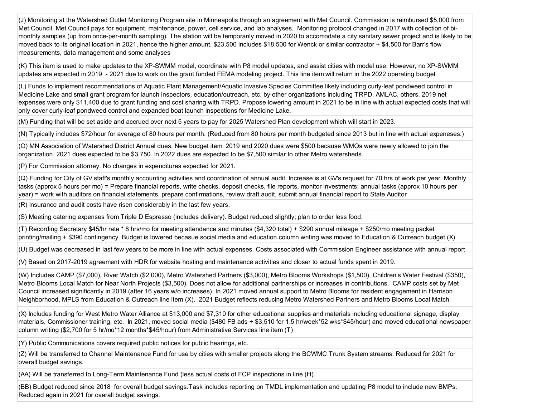(J) Monitoring at the Watershed Outlet Monitoring Program site in Minneapolis through an agreement with Met Council. Commission is reimbursed \$5,000 from Met Council. Met Council pays for equipment, maintenance, power, cell service, and lab analyses. Monitoring protocol changed in 2017 with collection of bimonthly samples (up from once-per-month sampling). The station will be temporarily moved in 2020 to accomodate a city sanitary sewer project and is likely to be moved back to its original location in 2021, hence the higher amount. \$23,500 includes \$18,500 for Wenck or similar contractor + \$4,500 for Barr's flow measurements, data management and some analyses

(K) This item is used to make updates to the XP-SWMM model, coordinate with P8 model updates, and assist cities with model use. However, no XP-SWMM updates are expected in 2019 - 2021 due to work on the grant funded FEMA modeling project. This line item will return in the 2022 operating budget

(L) Funds to implement recommendations of Aquatic Plant Management/Aquatic Invasive Species Committee likely including curly-leaf pondweed control in Medicine Lake and small grant program for launch inspectors, education/outreach, etc. by other organizations including TRPD, AMLAC, others. 2019 net expenses were only \$11,400 due to grant funding and cost sharing with TRPD. Propose lowering amount in 2021 to be in line with actual expected costs that will only cover curly-leaf pondweed control and expanded boat launch inspections for Medicine Lake.

(M) Funding that will be set aside and accrued over next 5 years to pay for 2025 Watershed Plan development which will start in 2023.

(N) Typically includes \$72/hour for average of 80 hours per month. (Reduced from 80 hours per month budgeted since 2013 but in line with actual expeneses.)

(O) MN Association of Watershed District Annual dues. New budget item. 2019 and 2020 dues were \$500 because WMOs were newly allowed to join the organization. 2021 dues expected to be \$3,750. In 2022 dues are expected to be \$7,500 similar to other Metro watersheds.

(P) For Commission attorney. No changes in expenditures expected for 2021.

(Q) Funding for City of GV staff's monthly accounting activities and coordination of annual audit. Increase is at GV's request for 70 hrs of work per year. Monthly tasks (approx 5 hours per mo) = Prepare financial reports, write checks, deposit checks, file reports, monitor investments; annual tasks (approx 10 hours per year) = work with auditors on financial statements, prepare confirmations, review draft audit, submit annual financial report to State Auditor

(R) Insurance and audit costs have risen considerably in the last few years.

(S) Meeting catering expenses from Triple D Espresso (includes delivery). Budget reduced slightly; plan to order less food.

(T) Recording Secretary \$45/hr rate \* 8 hrs/mo for meeting attendance and minutes (\$4,320 total) + \$290 annual mileage + \$250/mo meeting packet printing/mailing + \$390 contingency. Budget is lowered becasue social media and education column writing was moved to Education & Outreach budget (X)

(U) Budget was decreased in last few years to be more in line with actual expenses. Costs associated with Commission Engineer assistance with annual report

(V) Based on 2017-2019 agreement with HDR for website hosting and maintenance activities and closer to actual funds spent in 2019.

(W) Includes CAMP (\$7,000), River Watch (\$2,000), Metro Watershed Partners (\$3,000), Metro Blooms Workshops (\$1,500), Children's Water Festival (\$350), Metro Blooms Local Match for Near North Projects (\$3,500). Does not allow for additional partnerships or increases in contributions. CAMP costs set by Met Council increased significantly in 2019 (after 16 years w/o increases). In 2021 moved annual support to Metro Blooms for resident engagement in Harrison Neighborhood, MPLS from Education & Outreach line item (X). 2021 Budget reflects reducing Metro Watershed Partners and Metro Blooms Local Match

(X) Includes funding for West Metro Water Alliance at \$13,000 and \$7,310 for other educational supplies and materials including educational signage, display materials, Commissioner training, etc. In 2021, moved social media (\$480 FB ads + \$3,510 for 1.5 hr/week\*52 wks\*\$45/hour) and moved educational newspaper column writing (\$2,700 for 5 hr/mo\*12 months\*\$45/hour) from Administrative Services line item (T)

(Y) Public Communications covers required public notices for public hearings, etc.

(Z) Will be transferred to Channel Maintenance Fund for use by cities with smaller projects along the BCWMC Trunk System streams. Reduced for 2021 for overall budget savings.

(AA) Will be transferred to Long-Term Maintenance Fund (less actual costs of FCP inspections in line (H).

(BB) Budget reduced since 2018 for overall budget savings.Task includes reporting on TMDL implementation and updating P8 model to include new BMPs. Reduced again in 2021 for overall budget savings.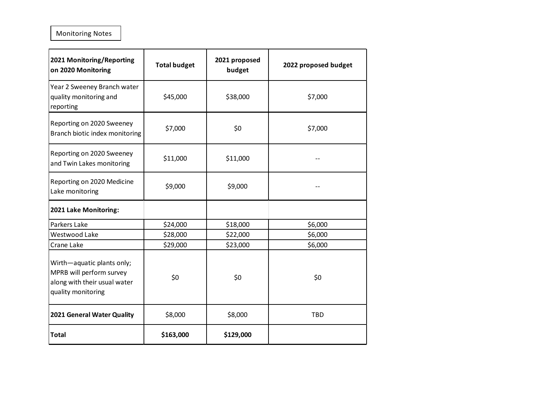Monitoring Notes

| 2021 Monitoring/Reporting<br>on 2020 Monitoring                                                              | <b>Total budget</b> | 2021 proposed<br>budget | 2022 proposed budget |
|--------------------------------------------------------------------------------------------------------------|---------------------|-------------------------|----------------------|
| Year 2 Sweeney Branch water<br>quality monitoring and<br>reporting                                           | \$45,000            | \$38,000                | \$7,000              |
| Reporting on 2020 Sweeney<br>Branch biotic index monitoring                                                  | \$7,000             | \$0                     | \$7,000              |
| Reporting on 2020 Sweeney<br>and Twin Lakes monitoring                                                       | \$11,000            | \$11,000                |                      |
| Reporting on 2020 Medicine<br>Lake monitoring                                                                | \$9,000             | \$9,000                 |                      |
| 2021 Lake Monitoring:                                                                                        |                     |                         |                      |
| Parkers Lake                                                                                                 | \$24,000            | \$18,000                | \$6,000              |
| Westwood Lake                                                                                                | \$28,000            | \$22,000                | \$6,000              |
| Crane Lake                                                                                                   | \$29,000            | \$23,000                | \$6,000              |
| Wirth-aquatic plants only;<br>MPRB will perform survey<br>along with their usual water<br>quality monitoring | \$0                 | \$0                     | \$0                  |
| 2021 General Water Quality                                                                                   | \$8,000             | \$8,000                 | <b>TBD</b>           |
| <b>Total</b>                                                                                                 | \$163,000           | \$129,000               |                      |